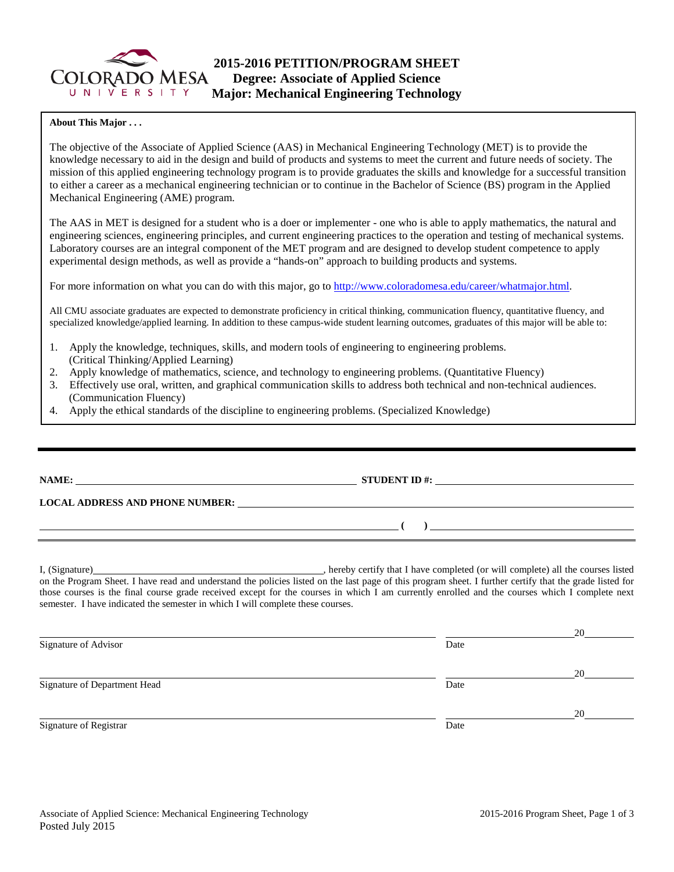

### **About This Major . . .**

The objective of the Associate of Applied Science (AAS) in Mechanical Engineering Technology (MET) is to provide the knowledge necessary to aid in the design and build of products and systems to meet the current and future needs of society. The mission of this applied engineering technology program is to provide graduates the skills and knowledge for a successful transition to either a career as a mechanical engineering technician or to continue in the Bachelor of Science (BS) program in the Applied Mechanical Engineering (AME) program.

The AAS in MET is designed for a student who is a doer or implementer - one who is able to apply mathematics, the natural and engineering sciences, engineering principles, and current engineering practices to the operation and testing of mechanical systems. Laboratory courses are an integral component of the MET program and are designed to develop student competence to apply experimental design methods, as well as provide a "hands-on" approach to building products and systems.

For more information on what you can do with this major, go to [http://www.coloradomesa.edu/career/whatmajor.html.](http://www.coloradomesa.edu/career/whatmajor.html)

All CMU associate graduates are expected to demonstrate proficiency in critical thinking, communication fluency, quantitative fluency, and specialized knowledge/applied learning. In addition to these campus-wide student learning outcomes, graduates of this major will be able to:

- 1. Apply the knowledge, techniques, skills, and modern tools of engineering to engineering problems. (Critical Thinking/Applied Learning)
- 2. Apply knowledge of mathematics, science, and technology to engineering problems. (Quantitative Fluency)
- 3. Effectively use oral, written, and graphical communication skills to address both technical and non-technical audiences. (Communication Fluency)
- 4. Apply the ethical standards of the discipline to engineering problems. (Specialized Knowledge)

|                                                                                                                                                                                                                                                                                                                                                                                               | $STUDENT ID \#:\n \begin{array}{c}\n 1 \\ -1 \\ \hline\n 0\n \end{array}$                                                                                                                                                      |  |  |  |  |
|-----------------------------------------------------------------------------------------------------------------------------------------------------------------------------------------------------------------------------------------------------------------------------------------------------------------------------------------------------------------------------------------------|--------------------------------------------------------------------------------------------------------------------------------------------------------------------------------------------------------------------------------|--|--|--|--|
|                                                                                                                                                                                                                                                                                                                                                                                               | LOCAL ADDRESS AND PHONE NUMBER: Under the contract of the contract of the contract of the contract of the contract of the contract of the contract of the contract of the contract of the contract of the contract of the cont |  |  |  |  |
|                                                                                                                                                                                                                                                                                                                                                                                               | $\overline{a}$ (b) and the contract of $\overline{a}$ (b) and the contract of $\overline{a}$ (b) and the contract of $\overline{a}$                                                                                            |  |  |  |  |
| on the Program Sheet. I have read and understand the policies listed on the last page of this program sheet. I further certify that the grade listed for<br>those courses is the final course grade received except for the courses in which I am currently enrolled and the courses which I complete next<br>semester. I have indicated the semester in which I will complete these courses. |                                                                                                                                                                                                                                |  |  |  |  |
| Signature of Advisor                                                                                                                                                                                                                                                                                                                                                                          | Date                                                                                                                                                                                                                           |  |  |  |  |
| Signature of Department Head                                                                                                                                                                                                                                                                                                                                                                  | Date                                                                                                                                                                                                                           |  |  |  |  |

20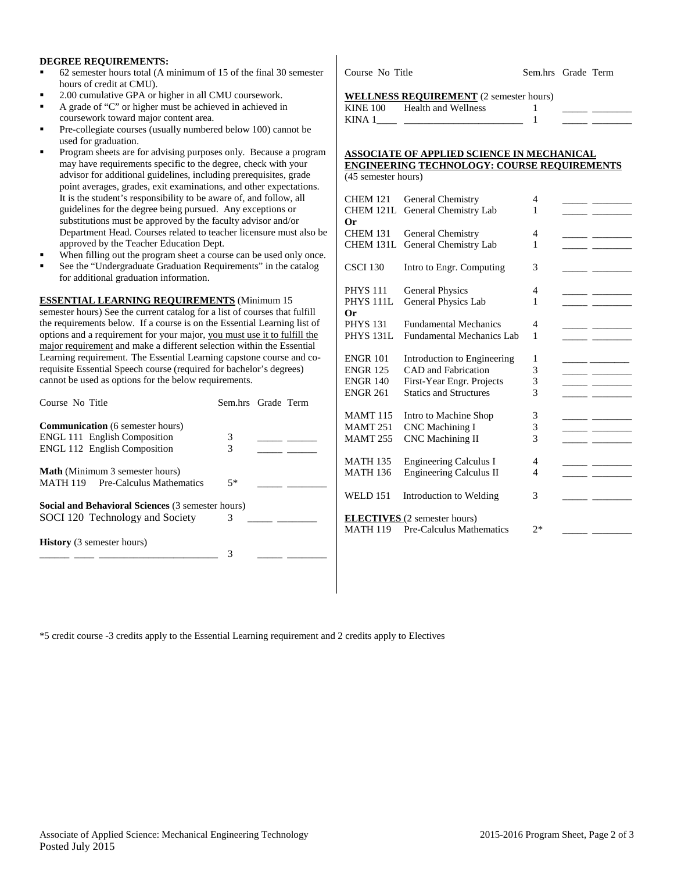### **DEGREE REQUIREMENTS:**

- 62 semester hours total (A minimum of 15 of the final 30 semester hours of credit at CMU).
- 2.00 cumulative GPA or higher in all CMU coursework.
- A grade of "C" or higher must be achieved in achieved in coursework toward major content area.
- Pre-collegiate courses (usually numbered below 100) cannot be used for graduation.
- Program sheets are for advising purposes only. Because a program may have requirements specific to the degree, check with your advisor for additional guidelines, including prerequisites, grade point averages, grades, exit examinations, and other expectations. It is the student's responsibility to be aware of, and follow, all guidelines for the degree being pursued. Any exceptions or substitutions must be approved by the faculty advisor and/or Department Head. Courses related to teacher licensure must also be approved by the Teacher Education Dept.
- When filling out the program sheet a course can be used only once.
- See the "Undergraduate Graduation Requirements" in the catalog for additional graduation information.

**ESSENTIAL LEARNING REQUIREMENTS** (Minimum 15 semester hours) See the current catalog for a list of courses that fulfill the requirements below. If a course is on the Essential Learning list of options and a requirement for your major, you must use it to fulfill the major requirement and make a different selection within the Essential Learning requirement. The Essential Learning capstone course and corequisite Essential Speech course (required for bachelor's degrees) cannot be used as options for the below requirements.

| Course No Title                                   | Sem.hrs Grade Term |  |
|---------------------------------------------------|--------------------|--|
| <b>Communication</b> (6 semester hours)           |                    |  |
| <b>ENGL 111 English Composition</b>               | 3                  |  |
| <b>ENGL 112 English Composition</b>               | 3                  |  |
| <b>Math</b> (Minimum 3 semester hours)            |                    |  |
| MATH 119 Pre-Calculus Mathematics                 | $5*$               |  |
| Social and Behavioral Sciences (3 semester hours) |                    |  |
| SOCI 120 Technology and Society                   | 3                  |  |
| <b>History</b> (3 semester hours)                 | 3                  |  |
|                                                   |                    |  |

Course No Title Sem.hrs Grade Term

#### **WELLNESS REQUIREMENT** (2 semester hours)

| <b>KINE 100</b> | Health and Wellness |  |  |
|-----------------|---------------------|--|--|
| KIN A           |                     |  |  |

### **ASSOCIATE OF APPLIED SCIENCE IN MECHANICAL ENGINEERING TECHNOLOGY: COURSE REQUIREMENTS** (45 semester hours)

| <b>CHEM 121</b><br><b>CHEM 121L</b><br>Or | General Chemistry<br>General Chemistry Lab                      | 4<br>1 |  |
|-------------------------------------------|-----------------------------------------------------------------|--------|--|
| <b>CHEM 131</b>                           | General Chemistry                                               | 4      |  |
| <b>CHEM 131L</b>                          | General Chemistry Lab                                           | 1      |  |
| <b>CSCI 130</b>                           | Intro to Engr. Computing                                        | 3      |  |
| <b>PHYS 111</b><br><b>PHYS 111L</b><br>Or | <b>General Physics</b><br>General Physics Lab                   | 4<br>1 |  |
| <b>PHYS 131</b>                           | <b>Fundamental Mechanics</b>                                    | 4      |  |
| <b>PHYS 131L</b>                          | Fundamental Mechanics Lab                                       | 1      |  |
| <b>ENGR 101</b>                           | Introduction to Engineering                                     | 1      |  |
| <b>ENGR 125</b>                           | <b>CAD</b> and Fabrication                                      | 3      |  |
| <b>ENGR 140</b>                           | First-Year Engr. Projects                                       | 3      |  |
| <b>ENGR 261</b>                           | <b>Statics and Structures</b>                                   | 3      |  |
| <b>MAMT115</b>                            | Intro to Machine Shop                                           | 3      |  |
| <b>MAMT 251</b>                           | <b>CNC</b> Machining I                                          | 3      |  |
| <b>MAMT 255</b>                           | <b>CNC</b> Machining II                                         | 3      |  |
| <b>MATH 135</b>                           | <b>Engineering Calculus I</b>                                   | 4      |  |
| <b>MATH 136</b>                           | <b>Engineering Calculus II</b>                                  | 4      |  |
| <b>WELD 151</b>                           | Introduction to Welding                                         | 3      |  |
| <b>MATH 119</b>                           | <b>ELECTIVES</b> (2 semester hours)<br>Pre-Calculus Mathematics | $2*$   |  |

\*5 credit course -3 credits apply to the Essential Learning requirement and 2 credits apply to Electives